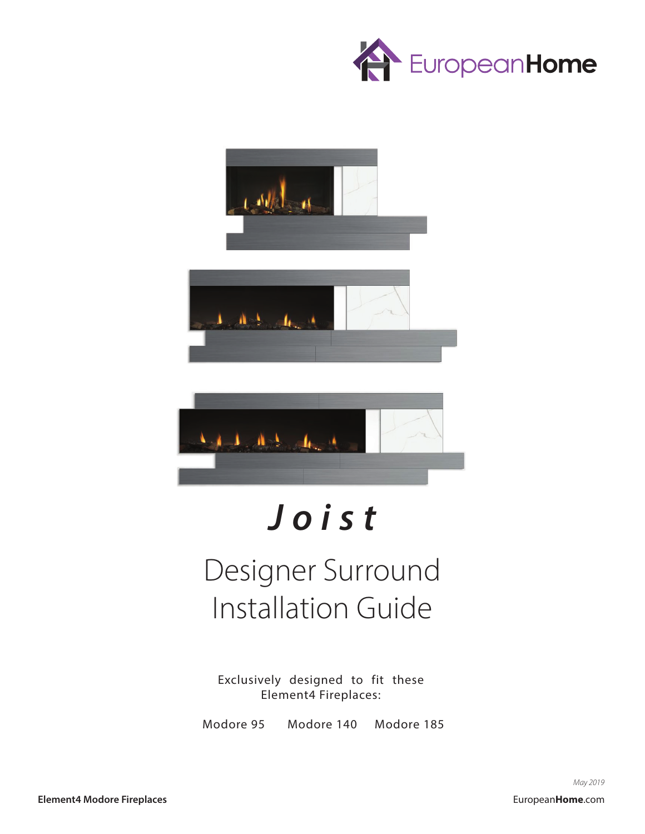





# *Joist*

## Designer Surround Installation Guide

Exclusively designed to fit these Element4 Fireplaces:

Modore 95 Modore 140 Modore 185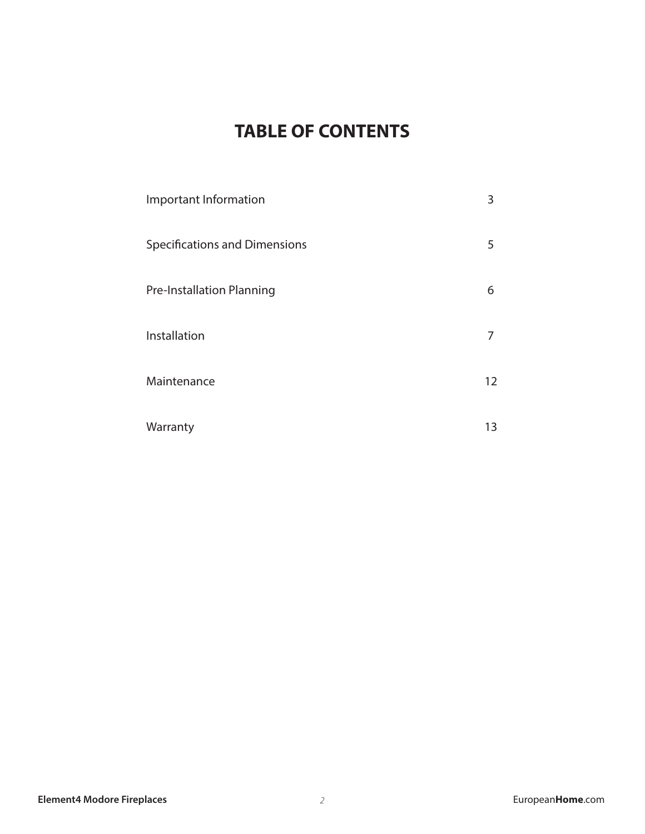#### **TABLE OF CONTENTS**

| Important Information                | 3  |
|--------------------------------------|----|
| <b>Specifications and Dimensions</b> | 5  |
| <b>Pre-Installation Planning</b>     | 6  |
| Installation                         | 7  |
| Maintenance                          | 12 |
| Warranty                             | 13 |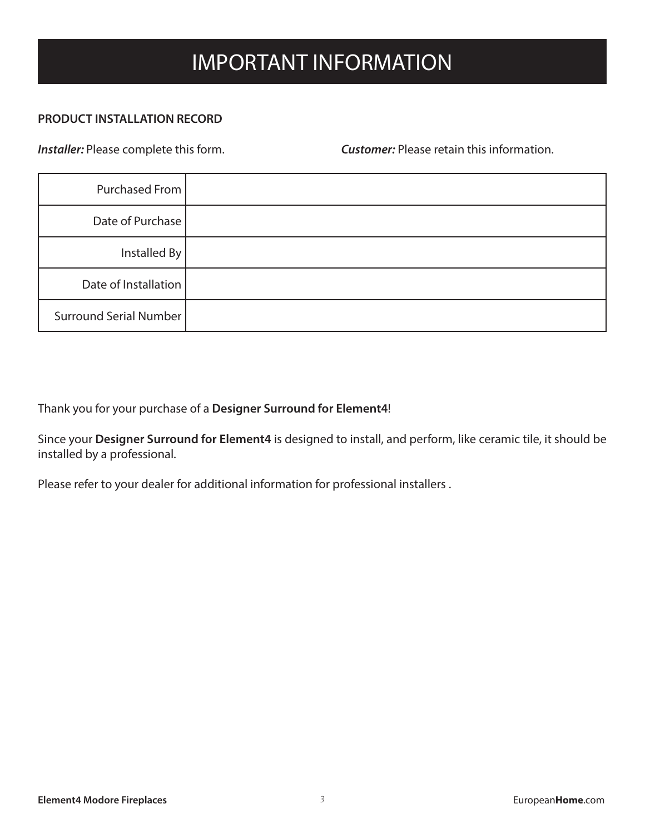### IMPORTANT INFORMATION

#### **PRODUCT INSTALLATION RECORD**

*Installer:* Please complete this form. *Customer:* Please retain this information.

| Purchased From                |  |
|-------------------------------|--|
| Date of Purchase              |  |
| Installed By                  |  |
| Date of Installation          |  |
| <b>Surround Serial Number</b> |  |

Thank you for your purchase of a **Designer Surround for Element4**!

Since your **Designer Surround for Element4** is designed to install, and perform, like ceramic tile, it should be installed by a professional.

Please refer to your dealer for additional information for professional installers .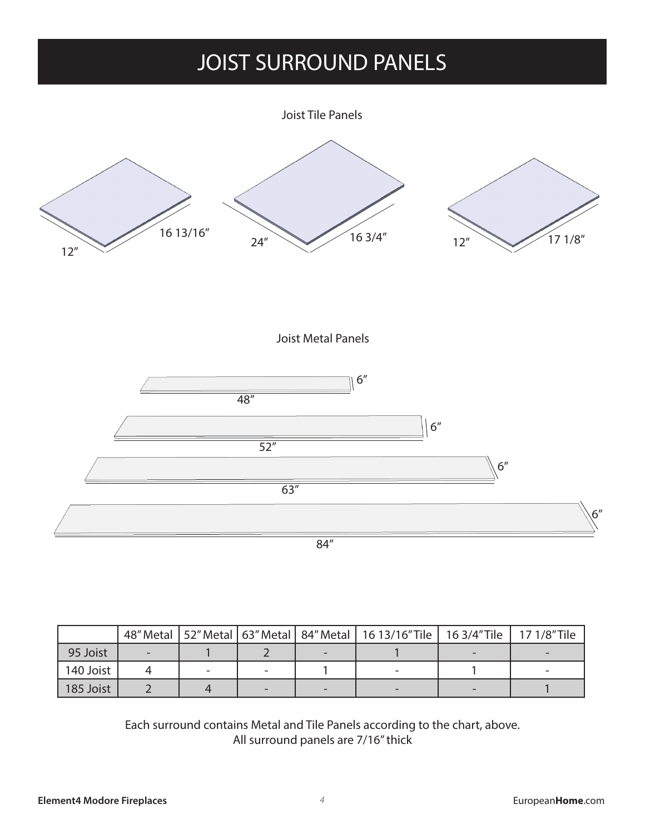### JOIST SURROUND PANELS

Joist Tile Panels



Joist Metal Panels



|           |  |  | 48" Metal   52" Metal   63" Metal   84" Metal   16 13/16" Tile   16 3/4" Tile   17 1/8" Tile |  |
|-----------|--|--|----------------------------------------------------------------------------------------------|--|
| 95 Joist  |  |  |                                                                                              |  |
| 140 Joist |  |  |                                                                                              |  |
| 185 Joist |  |  |                                                                                              |  |

Each surround contains Metal and Tile Panels according to the chart, above. All surround panels are 7/16" thick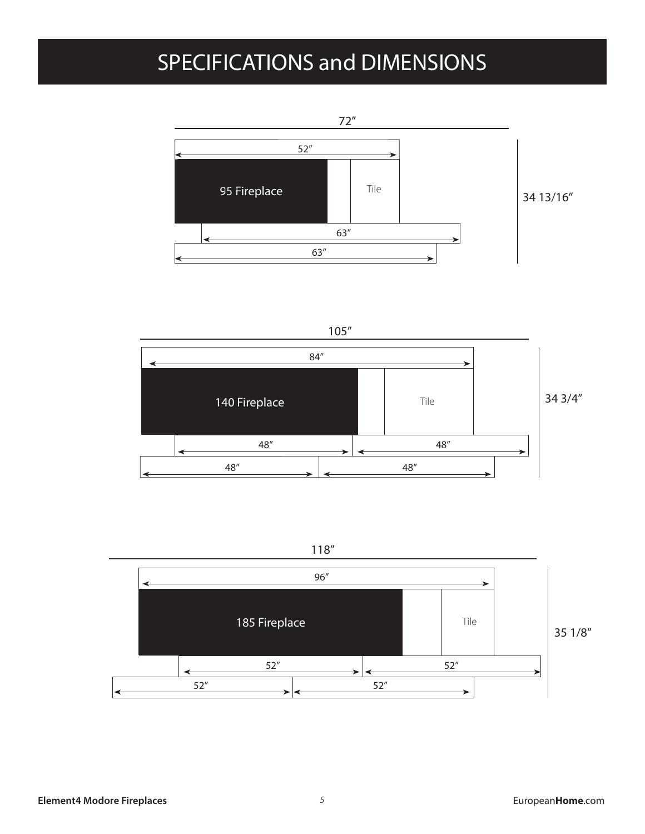### SPECIFICATIONS and DIMENSIONS









**Element4 Modore Fireplaces European** *F* **and** *F* **and** *F* **and** *F* **and** *F* **and** *F* **and** *F* **and** *F* **and** *F* **and** *F* **and** *F* **and** *F* **and** *F* **and** *F* **and** *F* **and** *F* **and** *F* **and** *F* **and** *F* **and** *F* **and** *F* **and** *F* **and** *F* **and**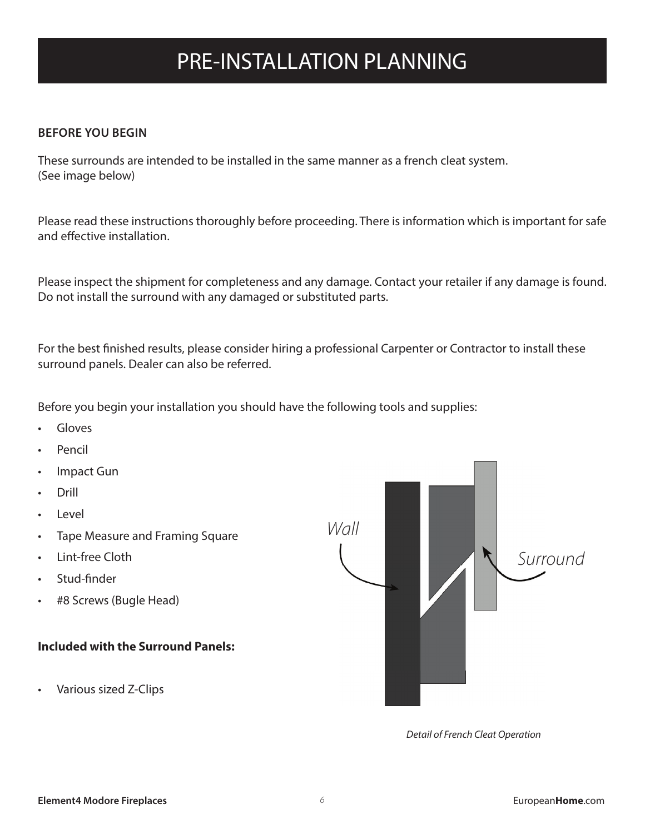### PRE-INSTALLATION PLANNING

#### **BEFORE YOU BEGIN**

These surrounds are intended to be installed in the same manner as a french cleat system. (See image below)

Please read these instructions thoroughly before proceeding. There is information which is important for safe and effective installation.

Please inspect the shipment for completeness and any damage. Contact your retailer if any damage is found. Do not install the surround with any damaged or substituted parts.

For the best finished results, please consider hiring a professional Carpenter or Contractor to install these surround panels. Dealer can also be referred.

Before you begin your installation you should have the following tools and supplies:

- **Gloves**
- Pencil
- Impact Gun
- Drill
- Level
- Tape Measure and Framing Square
- Lint-free Cloth
- Stud-finder
- #8 Screws (Bugle Head)

#### **Included with the Surround Panels:**

• Various sized Z-Clips



*Detail of French Cleat Operation*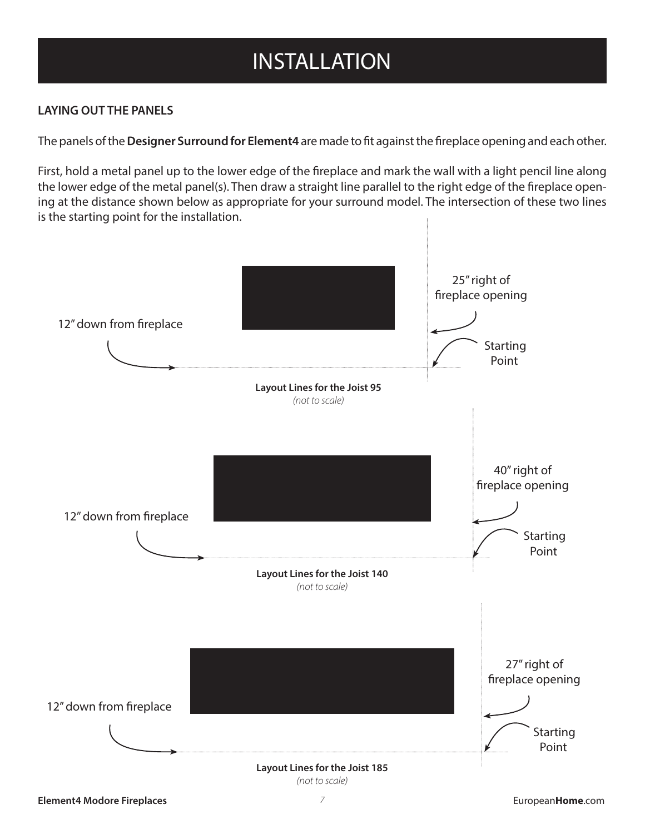### INSTALLATION

#### **LAYING OUT THE PANELS**

The panels of the **Designer Surround for Element4** are made to fit against the fireplace opening and each other.

First, hold a metal panel up to the lower edge of the fireplace and mark the wall with a light pencil line along the lower edge of the metal panel(s). Then draw a straight line parallel to the right edge of the fireplace opening at the distance shown below as appropriate for your surround model. The intersection of these two lines is the starting point for the installation.

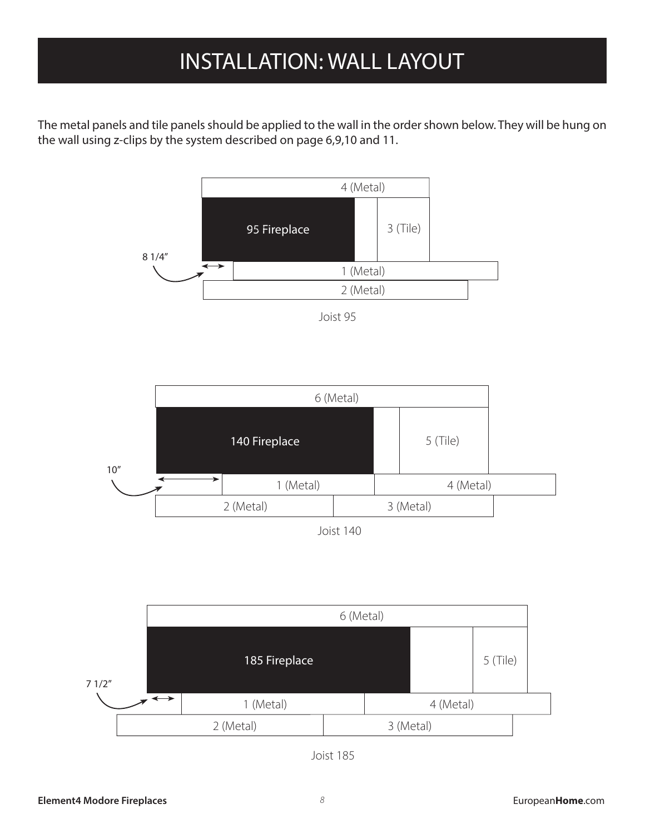### INSTALLATION INSTALLATION: WALL LAYOUT

The metal panels and tile panels should be applied to the wall in the order shown below. They will be hung on the wall using z-clips by the system described on page 6,9,10 and 11.



Joist 95





Joist 185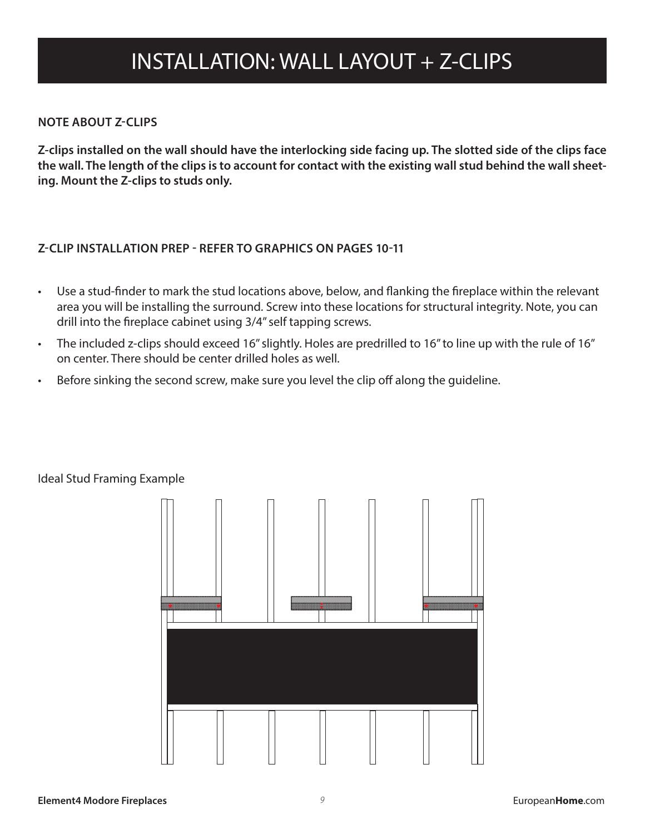### INSTALLATION: WALL LAYOUT + Z-CLIPS

#### **NOTE ABOUT Z-CLIPS**

**Z-clips installed on the wall should have the interlocking side facing up. The slotted side of the clips face the wall. The length of the clips is to account for contact with the existing wall stud behind the wall sheeting. Mount the Z-clips to studs only.**

#### **Z-CLIP INSTALLATION PREP - REFER TO GRAPHICS ON PAGES 10-11**

- Use a stud-finder to mark the stud locations above, below, and flanking the fireplace within the relevant area you will be installing the surround. Screw into these locations for structural integrity. Note, you can drill into the fireplace cabinet using 3/4" self tapping screws.
- The included z-clips should exceed 16" slightly. Holes are predrilled to 16" to line up with the rule of 16" on center. There should be center drilled holes as well.
- Before sinking the second screw, make sure you level the clip off along the guideline.



#### Ideal Stud Framing Example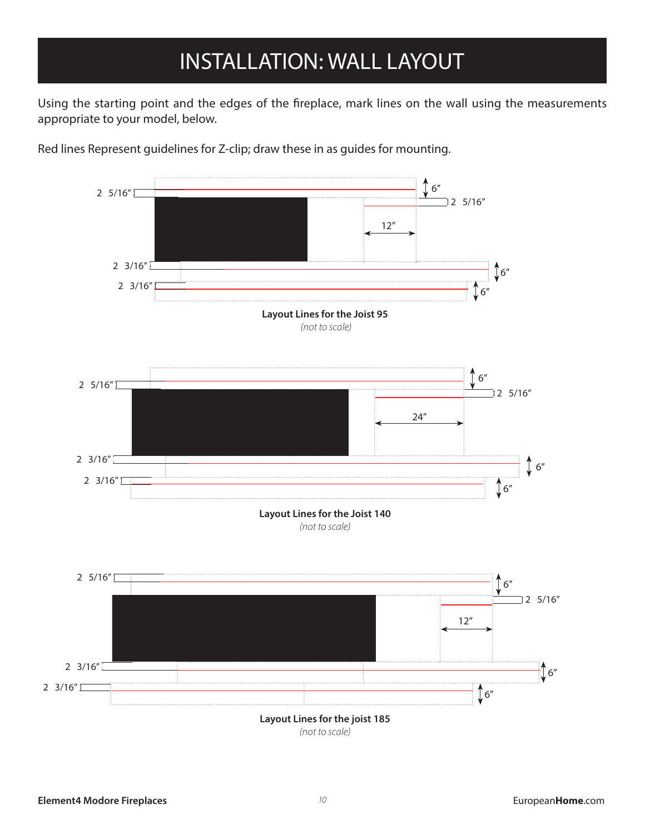### INSTALLATION INSTALLATION: WALL LAYOUT

Using the starting point and the edges of the fireplace, mark lines on the wall using the measurements appropriate to your model, below.



Red lines Represent guidelines for Z-clip; draw these in as guides for mounting.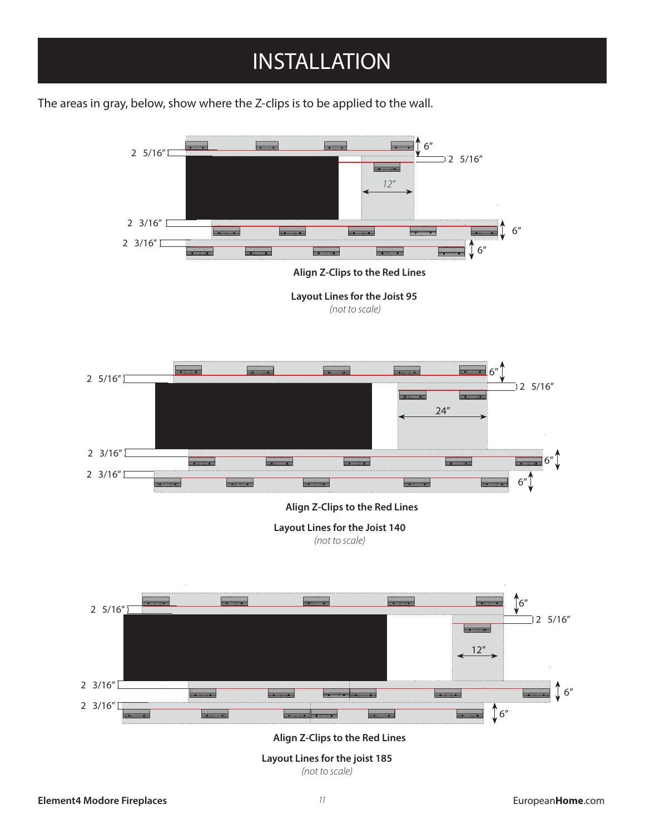### INSTALLATION

The areas in gray, below, show where the Z-clips is to be applied to the wall.

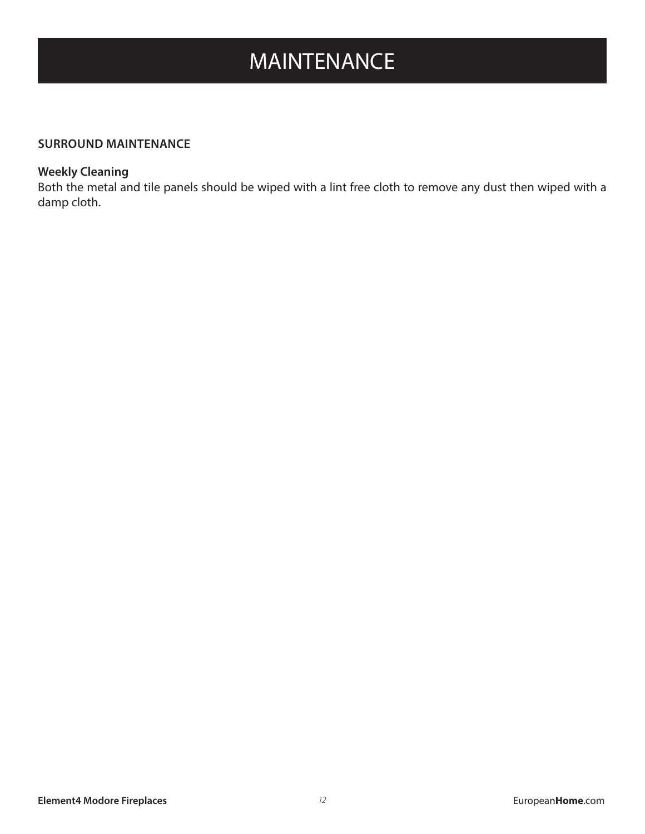### MAINTENANCE

#### **SURROUND MAINTENANCE**

#### **Weekly Cleaning**

Both the metal and tile panels should be wiped with a lint free cloth to remove any dust then wiped with a damp cloth.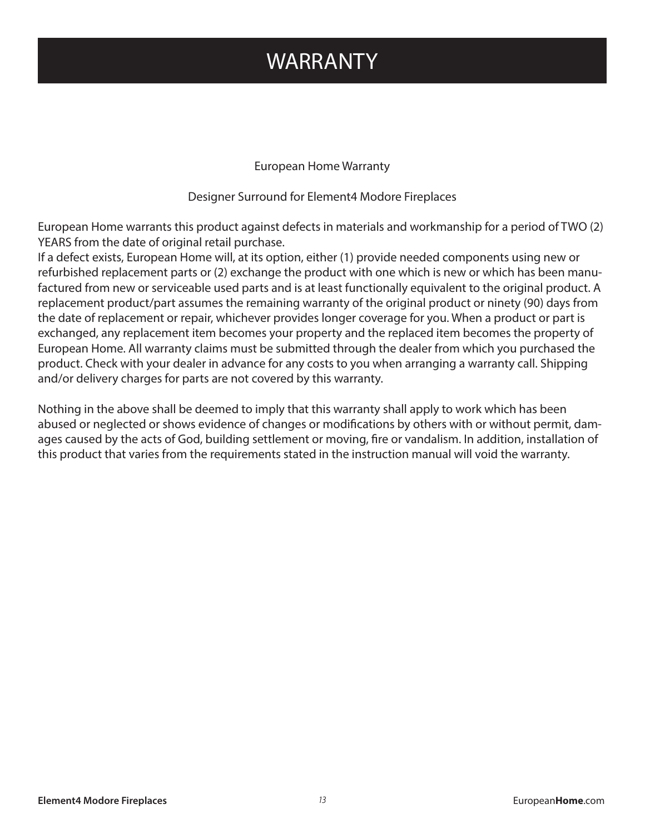#### WARRANTY

European Home Warranty

Designer Surround for Element4 Modore Fireplaces

European Home warrants this product against defects in materials and workmanship for a period of TWO (2) YEARS from the date of original retail purchase.

If a defect exists, European Home will, at its option, either (1) provide needed components using new or refurbished replacement parts or (2) exchange the product with one which is new or which has been manufactured from new or serviceable used parts and is at least functionally equivalent to the original product. A replacement product/part assumes the remaining warranty of the original product or ninety (90) days from the date of replacement or repair, whichever provides longer coverage for you. When a product or part is exchanged, any replacement item becomes your property and the replaced item becomes the property of European Home. All warranty claims must be submitted through the dealer from which you purchased the product. Check with your dealer in advance for any costs to you when arranging a warranty call. Shipping and/or delivery charges for parts are not covered by this warranty.

Nothing in the above shall be deemed to imply that this warranty shall apply to work which has been abused or neglected or shows evidence of changes or modifications by others with or without permit, damages caused by the acts of God, building settlement or moving, fire or vandalism. In addition, installation of this product that varies from the requirements stated in the instruction manual will void the warranty.